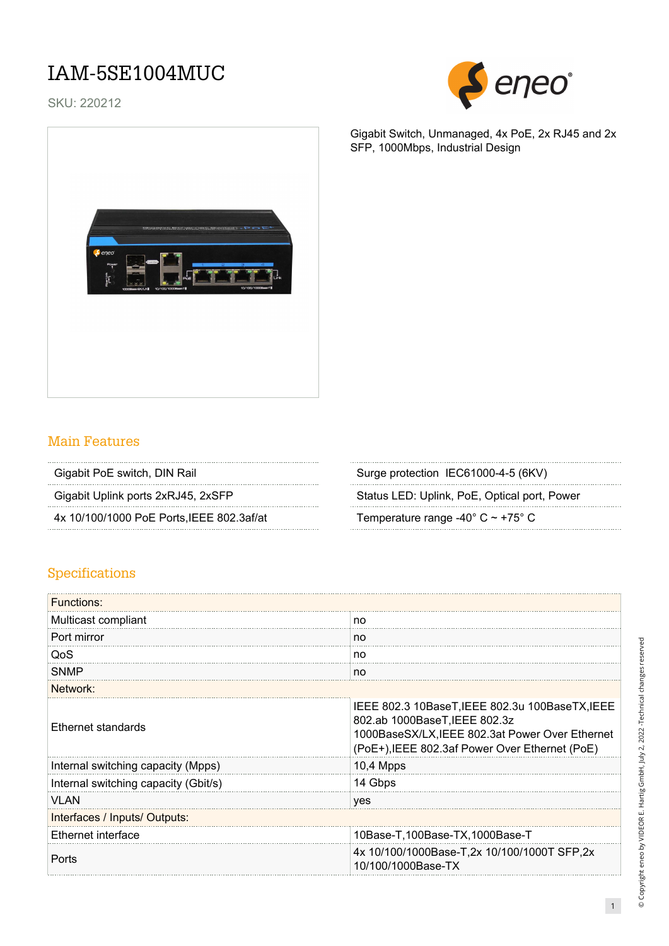# IAM-5SE1004MUC

SKU: 220212



Gigabit Switch, Unmanaged, 4x PoE, 2x RJ45 and 2x

SFP, 1000Mbps, Industrial Design

## Main Features

4x 10/100/1000 PoE Ports, IEEE 802.3af/at Temperature range -40° C ~ +75° C

Gigabit PoE switch, DIN Rail Surge protection IEC61000-4-5 (6KV)

Gigabit Uplink ports 2xRJ45, 2xSFP Status LED: Uplink, PoE, Optical port, Power

#### Specifications

| Functions:                           |                                                                                                                                                                                       |  |
|--------------------------------------|---------------------------------------------------------------------------------------------------------------------------------------------------------------------------------------|--|
| Multicast compliant                  | no                                                                                                                                                                                    |  |
| Port mirror                          | no                                                                                                                                                                                    |  |
| QoS                                  | no                                                                                                                                                                                    |  |
| <b>SNMP</b>                          | no                                                                                                                                                                                    |  |
| Network:                             |                                                                                                                                                                                       |  |
| Ethernet standards                   | IEEE 802.3 10BaseT, IEEE 802.3u 100BaseTX, IEEE<br>802.ab 1000BaseT, IEEE 802.3z<br>1000BaseSX/LX, IEEE 802.3at Power Over Ethernet<br>(PoE+), IEEE 802.3af Power Over Ethernet (PoE) |  |
| Internal switching capacity (Mpps)   | 10,4 Mpps                                                                                                                                                                             |  |
| Internal switching capacity (Gbit/s) | 14 Gbps                                                                                                                                                                               |  |
| <b>VLAN</b>                          | <b>ves</b>                                                                                                                                                                            |  |
| Interfaces / Inputs/ Outputs:        |                                                                                                                                                                                       |  |
| Ethernet interface                   | 10Base-T,100Base-TX,1000Base-T                                                                                                                                                        |  |
| Ports                                | 4x 10/100/1000Base-T,2x 10/100/1000T SFP,2x<br>10/100/1000Base-TX                                                                                                                     |  |